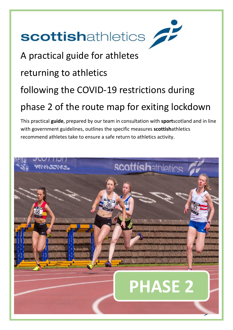# scottishathletics

A practical guide for athletes returning to athletics following the COVID-19 restrictions during phase 2 of the route map for exiting lockdown

This practical **guide**, prepared by our team in consultation with **sport**scotland and in line with government guidelines, outlines the specific measures **scottish**athletics recommend athletes take to ensure a safe return to athletics activity.

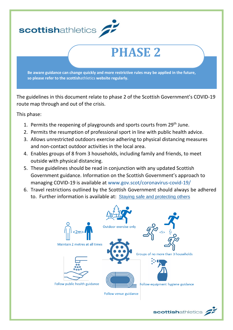

The guidelines in this document relate to phase 2 of the Scottish Government's COVID-19 route map through and out of the crisis.

This phase:

- 1. Permits the reopening of playgrounds and sports courts from 29<sup>th</sup> June.
- 2. Permits the resumption of professional sport in line with public health advice.
- 3. Allows unrestricted outdoors exercise adhering to physical distancing measures and non-contact outdoor activities in the local area.
- 4. Enables groups of 8 from 3 households, including family and friends, to meet outside with physical distancing.
- 5. These guidelines should be read in conjunction with any updated Scottish Government guidance. Information on the Scottish Government's approach to managing COVID-19 is available at [www.gov.scot/coronavirus-covid-19/](http://www.gov.scot/coronavirus-covid-19/)
- 6. Travel restrictions outlined by the Scottish Government should always be adhered to. Further information is available at: [Staying safe and protecting others](http://www.gov.scot/publications/coronavirus-covid-19-phase-2-staying-safe-and-protecting-others/pages/meeting-others/)



scottishathletics /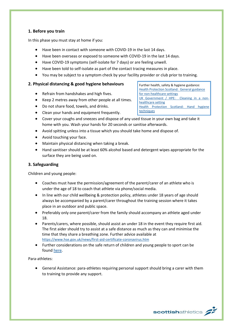# **1. Before you train**

In this phase you must stay at home if you:

- Have been in contact with someone with COVID-19 in the last 14 days.
- Have been overseas or exposed to someone with COVID-19 in the last 14 days.
- Have COVID-19 symptoms (self-isolate for 7 days) or are feeling unwell.
- Have been told to self-isolate as part of the contact tracing measures in place.
- You may be subject to a symptom check by your facility provider or club prior to training.

#### **2. Physical distancing & good hygiene behaviours**

- Refrain from handshakes and high fives.
- Keep 2 metres away from other people at all times.
- Do not share food, towels, and drinks.
- Clean your hands and equipment frequently.
- Cover your coughs and sneezes and dispose of any used tissue in your own bag and take it home with you. Wash your hands for 20 seconds or sanitise afterwards.
- Avoid spitting unless into a tissue which you should take home and dispose of.
- Avoid touching your face.
- Maintain physical distancing when taking a break.
- Hand sanitiser should be at least 60% alcohol based and detergent wipes appropriate for the surface they are being used on.

## **3. Safeguarding**

Children and young people:

- Coaches must have the permission/agreement of the parent/carer of an athlete who is under the age of 18 to coach that athlete via phone/social media.
- In line with our child wellbeing & protection policy, athletes under 18 years of age should always be accompanied by a parent/carer throughout the training session where it takes place in an outdoor and public space.
- Preferably only one parent/carer from the family should accompany an athlete aged under 18.
- Parents/carers, where possible, should assist an under 18 in the event they require first aid. The first aider should try to assist at a safe distance as much as they can and minimise the time that they share a breathing zone. Further advice available at <https://www.hse.gov.uk/news/first-aid-certificate-coronavirus.htm>
- Further considerations on the safe return of children and young people to sport can be found [here.](https://sportscotland.org.uk/media/5774/cyp-return-to-sport-after-covid-19.pdf)

Para-athletes:

• General Assistance: para-athletes requiring personal support should bring a carer with them to training to provide any support.

Further health, safety & hygiene guidance: [Health Protection Scotland: General guidance](http://www.hps.scot.nhs.uk/web-resources-container/covid-19-guidance-for-non-healthcare-settings/)  [for non-healthcare settings](http://www.hps.scot.nhs.uk/web-resources-container/covid-19-guidance-for-non-healthcare-settings/) [UK Government / HPE: Cleaning in a non](http://www.gov.uk/government/publications/covid-19-decontamination-in-non-healthcare-settings/covid-19-decontamination-in-non-healthcare-settings)[healthcare setting](http://www.gov.uk/government/publications/covid-19-decontamination-in-non-healthcare-settings/covid-19-decontamination-in-non-healthcare-settings) [Health Protection Scotland:](http://www.hps.scot.nhs.uk/a-to-z-of-topics/hand-hygiene/) Hand hygiene [techniques](http://www.hps.scot.nhs.uk/a-to-z-of-topics/hand-hygiene/)

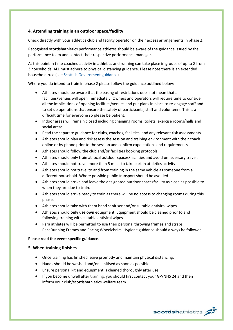# **4. Attending training in an outdoor space/facility**

Check directly with your athletics club and facility operator on their access arrangements in phase 2.

Recognised **scottish**athletics performance athletes should be aware of the guidance issued by the performance team and contact their respective performance manager.

At this point in time coached activity in athletics and running can take place in groups of up to 8 from 3 households. ALL must adhere to physical distancing guidance. Please note there is an extended household rule (se[e Scottish Government guidance\)](https://www.gov.scot/publications/coronavirus-covid-19-phase-2-staying-safe-and-protecting-others/pages/meeting-others/).

Where you do intend to train in phase 2 please follow the guidance outlined below:

- Athletes should be aware that the easing of restrictions does not mean that all facilities/venues will open immediately. Owners and operators will require time to consider all the implications of opening facilities/venues and put plans in place to re-engage staff and to set up operations that ensure the safety of participants, staff and volunteers. This is a difficult time for everyone so please be patient.
- Indoor areas will remain closed including changing rooms, toilets, exercise rooms/halls and social areas.
- Read the separate guidance for clubs, coaches, facilities, and any relevant risk assessments.
- Athletes should plan and risk assess the session and training environment with their coach online or by phone prior to the session and confirm expectations and requirements.
- Athletes should follow the club and/or facilities booking protocols.
- Athletes should only train at local outdoor spaces/facilities and avoid unnecessary travel.
- Athletes should not travel more than 5 miles to take part in athletics activity.
- Athletes should not travel to and from training in the same vehicle as someone from a different household. Where possible public transport should be avoided.
- Athletes should arrive and leave the designated outdoor space/facility as close as possible to when they are due to train.
- Athletes should arrive ready to train as there will be no access to changing rooms during this phase.
- Athletes should take with them hand sanitiser and/or suitable antiviral wipes.
- Athletes should **only use own** equipment. Equipment should be cleaned prior to and following training with suitable antiviral wipes.
- Para athletes will be permitted to use their personal throwing frames and straps, RaceRunning Frames and Racing Wheelchairs. Hygiene guidance should always be followed.

#### **Please read the event specific guidance.**

#### **5. When training finishes**

- Once training has finished leave promptly and maintain physical distancing.
- Hands should be washed and/or sanitised as soon as possible.
- Ensure personal kit and equipment is cleaned thoroughly after use.
- If you become unwell after training, you should first contact your GP/NHS 24 and then inform your club/**scottish**athletics welfare team.

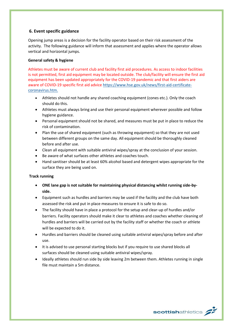# **6. Event specific guidance**

Opening jump areas is a decision for the facility operator based on their risk assessment of the activity. The following guidance will inform that assessment and applies where the operator allows vertical and horizontal jumps.

#### **General safety & hygiene**

Athletes must be aware of current club and facility first aid procedures. As access to indoor facilities is not permitted, first aid equipment may be located outside. The club/facility will ensure the first aid equipment has been updated appropriately for the COVID-19 pandemic and that first aiders are aware of COVID-19 specific first aid advice [https://www.hse.gov.uk/news/first-aid-certificate](https://www.hse.gov.uk/news/first-aid-certificate-coronavirus.htm)[coronavirus.htm.](https://www.hse.gov.uk/news/first-aid-certificate-coronavirus.htm)

- Athletes should not handle any shared coaching equipment (cones etc.). Only the coach should do this.
- Athletes must always bring and use their personal equipment wherever possible and follow hygiene guidance.
- Personal equipment should not be shared, and measures must be put in place to reduce the risk of contamination.
- Plan the use of shared equipment (such as throwing equipment) so that they are not used between different groups on the same day. All equipment should be thoroughly cleaned before and after use.
- Clean all equipment with suitable antiviral wipes/spray at the conclusion of your session.
- Be aware of what surfaces other athletes and coaches touch.
- Hand sanitiser should be at least 60% alcohol based and detergent wipes appropriate for the surface they are being used on.

# **Track running**

- **ONE lane gap is not suitable for maintaining physical distancing whilst running side-byside.**
- Equipment such as hurdles and barriers may be used if the facility and the club have both assessed the risk and put in place measures to ensure it is safe to do so.
- The facility should have in place a protocol for the setup and clear-up of hurdles and/or barriers. Facility operators should make it clear to athletes and coaches whether cleaning of hurdles and barriers will be carried out by the facility staff or whether the coach or athlete will be expected to do it.
- Hurdles and barriers should be cleaned using suitable antiviral wipes/spray before and after use.
- It is advised to use personal starting blocks but if you require to use shared blocks all surfaces should be cleaned using suitable antiviral wipes/spray.
- Ideally athletes should run side by side leaving 2m between them. Athletes running in single file must maintain a 5m distance.

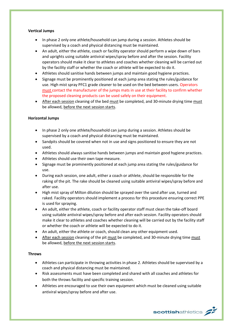#### **Vertical Jumps**

- In phase 2 only one athlete/household can jump during a session. Athletes should be supervised by a coach and physical distancing must be maintained.
- An adult, either the athlete, coach or facility operator should perform a wipe down of bars and uprights using suitable antiviral wipes/spray before and after the session. Facility operators should make it clear to athletes and coaches whether cleaning will be carried out by the facility staff or whether the coach or athlete will be expected to do it.
- Athletes should sanitise hands between jumps and maintain good hygiene practices.
- Signage must be prominently positioned at each jump area stating the rules/guidance for use. High mist spray PFC1 grade cleaner to be used on the bed between users. Operators must contact the manufacturer of the jumps mats in use at their facility to confirm whether the proposed cleaning products can be used safely on their equipment.
- After each session cleaning of the bed must be completed, and 30-minute drying time must be allowed, before the next session starts.

# **Horizontal Jumps**

- In phase 2 only one athlete/household can jump during a session. Athletes should be supervised by a coach and physical distancing must be maintained.
- Sandpits should be covered when not in use and signs positioned to ensure they are not used.
- Athletes should always sanitise hands between jumps and maintain good hygiene practices.
- Athletes should use their own tape measure.
- Signage must be prominently positioned at each jump area stating the rules/guidance for use.
- During each session, one adult, either a coach or athlete, should be responsible for the raking of the pit. The rake should be cleaned using suitable antiviral wipes/spray before and after use.
- High mist spray of Milton dilution should be sprayed over the sand after use, turned and raked. Facility operators should implement a process for this procedure ensuring correct PPE is used for spraying.
- An adult, either the athlete, coach or facility operator staff must clean the take-off board using suitable antiviral wipes/spray before and after each session. Facility operators should make it clear to athletes and coaches whether cleaning will be carried out by the facility staff or whether the coach or athlete will be expected to do it.
- An adult, either the athlete or coach, should clean any other equipment used.
- After each session cleaning of the pit must be completed, and 30-minute drying time must be allowed, before the next session starts.

# **Throws**

- Athletes can participate in throwing activities in phase 2. Athletes should be supervised by a coach and physical distancing must be maintained.
- Risk assessments must have been completed and shared with all coaches and athletes for both the throws facility and specific training session.
- Athletes are encouraged to use their own equipment which must be cleaned using suitable antiviral wipes/spray before and after use.

scottishathletics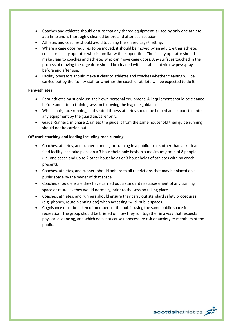- Coaches and athletes should ensure that any shared equipment is used by only one athlete at a time and is thoroughly cleaned before and after each session.
- Athletes and coaches should avoid touching the shared cage/netting.
- Where a cage door requires to be moved, it should be moved by an adult, either athlete, coach or facility operator who is familiar with its operation. The facility operator should make clear to coaches and athletes who can move cage doors. Any surfaces touched in the process of moving the cage door should be cleaned with suitable antiviral wipes/spray before and after use.
- Facility operators should make it clear to athletes and coaches whether cleaning will be carried out by the facility staff or whether the coach or athlete will be expected to do it.

#### **Para-athletes**

- Para-athletes must only use their own personal equipment. All equipment should be cleaned before and after a training session following the hygiene guidance.
- Wheelchair, race running, and seated throws athletes should be helped and supported into any equipment by the guardian/carer only.
- Guide Runners: in phase 2, unless the guide is from the same household then guide running should not be carried out.

#### **Off track coaching and leading including road running**

- Coaches, athletes, and runners running or training in a public space, other than a track and field facility, can take place on a 3 household only basis in a maximum group of 8 people. (i.e. one coach and up to 2 other households or 3 households of athletes with no coach present).
- Coaches, athletes, and runners should adhere to all restrictions that may be placed on a public space by the owner of that space.
- Coaches should ensure they have carried out a standard risk assessment of any training space or route, as they would normally, prior to the session taking place.
- Coaches, athletes, and runners should ensure they carry out standard safety procedures (e.g. phones, route planning etc) when accessing 'wild' public spaces.
- Cognisance must be taken of members of the public using the same public space for recreation. The group should be briefed on how they run together in a way that respects physical distancing, and which does not cause unnecessary risk or anxiety to members of the public.